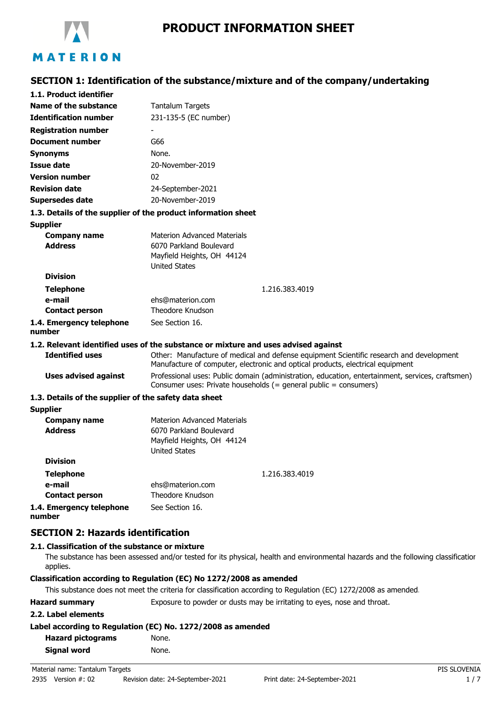

# **SECTION 1: Identification of the substance/mixture and of the company/undertaking**

| 1.1. Product identifier                               |                                                                                                                                                                           |
|-------------------------------------------------------|---------------------------------------------------------------------------------------------------------------------------------------------------------------------------|
| Name of the substance                                 | <b>Tantalum Targets</b>                                                                                                                                                   |
| <b>Identification number</b>                          | 231-135-5 (EC number)                                                                                                                                                     |
| <b>Registration number</b>                            |                                                                                                                                                                           |
| <b>Document number</b>                                | G66                                                                                                                                                                       |
| <b>Synonyms</b>                                       | None.                                                                                                                                                                     |
| Issue date                                            | 20-November-2019                                                                                                                                                          |
| <b>Version number</b>                                 | 02                                                                                                                                                                        |
| <b>Revision date</b>                                  | 24-September-2021                                                                                                                                                         |
| <b>Supersedes date</b>                                | 20-November-2019                                                                                                                                                          |
|                                                       | 1.3. Details of the supplier of the product information sheet                                                                                                             |
| <b>Supplier</b>                                       |                                                                                                                                                                           |
| <b>Company name</b>                                   | <b>Materion Advanced Materials</b>                                                                                                                                        |
| <b>Address</b>                                        | 6070 Parkland Boulevard                                                                                                                                                   |
|                                                       | Mayfield Heights, OH 44124                                                                                                                                                |
| <b>Division</b>                                       | <b>United States</b>                                                                                                                                                      |
|                                                       |                                                                                                                                                                           |
| <b>Telephone</b><br>e-mail                            | 1.216.383.4019<br>ehs@materion.com                                                                                                                                        |
| <b>Contact person</b>                                 | Theodore Knudson                                                                                                                                                          |
| 1.4. Emergency telephone                              | See Section 16.                                                                                                                                                           |
| number                                                |                                                                                                                                                                           |
|                                                       | 1.2. Relevant identified uses of the substance or mixture and uses advised against                                                                                        |
| <b>Identified uses</b>                                | Other: Manufacture of medical and defense equipment Scientific research and development<br>Manufacture of computer, electronic and optical products, electrical equipment |
| <b>Uses advised against</b>                           | Professional uses: Public domain (administration, education, entertainment, services, craftsmen)<br>Consumer uses: Private households (= general public = consumers)      |
| 1.3. Details of the supplier of the safety data sheet |                                                                                                                                                                           |
| <b>Supplier</b>                                       |                                                                                                                                                                           |
| <b>Company name</b><br><b>Address</b>                 | <b>Materion Advanced Materials</b><br>6070 Parkland Boulevard<br>Mayfield Heights, OH 44124<br><b>United States</b>                                                       |
| <b>Division</b>                                       |                                                                                                                                                                           |
| <b>Telephone</b>                                      | 1.216.383.4019                                                                                                                                                            |
| e-mail                                                | ehs@materion.com                                                                                                                                                          |
| <b>Contact person</b>                                 | Theodore Knudson                                                                                                                                                          |
| 1.4. Emergency telephone<br>numher                    | See Section 16.                                                                                                                                                           |

# **SECTION 2: Hazards identification**

#### **2.1. Classification of the substance or mixture**

The substance has been assessed and/or tested for its physical, health and environmental hazards and the following classification applies.

#### **Classification according to Regulation (EC) No 1272/2008 as amended**

This substance does not meet the criteria for classification according to Regulation (EC) 1272/2008 as amended.

Hazard summary **Exposure to powder or dusts may be irritating to eyes, nose and throat.** 

#### **2.2. Label elements**

#### **Label according to Regulation (EC) No. 1272/2008 as amended**

| <b>Hazard pictograms</b> | None. |
|--------------------------|-------|
| Signal word              | None. |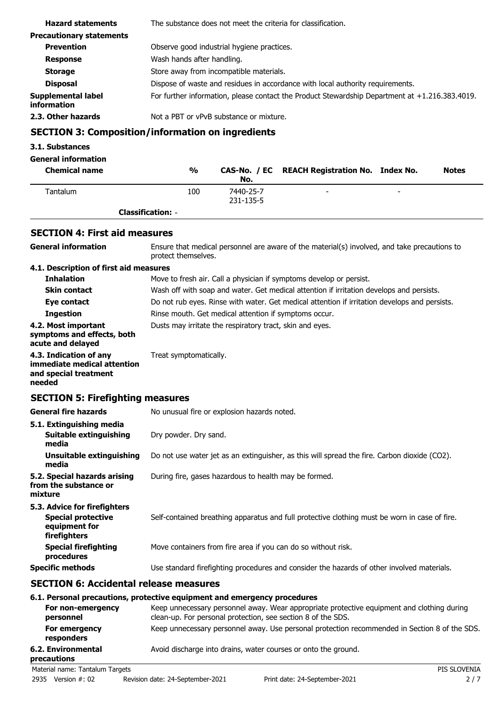| <b>Hazard statements</b>          | The substance does not meet the criteria for classification.                                      |
|-----------------------------------|---------------------------------------------------------------------------------------------------|
| <b>Precautionary statements</b>   |                                                                                                   |
| <b>Prevention</b>                 | Observe good industrial hygiene practices.                                                        |
| <b>Response</b>                   | Wash hands after handling.                                                                        |
| <b>Storage</b>                    | Store away from incompatible materials.                                                           |
| <b>Disposal</b>                   | Dispose of waste and residues in accordance with local authority requirements.                    |
| Supplemental label<br>information | For further information, please contact the Product Stewardship Department at $+1.216.383.4019$ . |
| 2.3. Other hazards                | Not a PBT or yPvB substance or mixture.                                                           |
|                                   |                                                                                                   |

# **SECTION 3: Composition/information on ingredients**

### **3.1. Substances**

| <b>General information</b> |                          |                        |                                               |   |              |
|----------------------------|--------------------------|------------------------|-----------------------------------------------|---|--------------|
| <b>Chemical name</b>       | $\frac{0}{0}$            | No.                    | CAS-No. / EC REACH Registration No. Index No. |   | <b>Notes</b> |
| Tantalum                   | 100                      | 7440-25-7<br>231-135-5 | -                                             | - |              |
|                            | <b>Classification: -</b> |                        |                                               |   |              |

### **SECTION 4: First aid measures**

| <b>General information</b>                                                               | Ensure that medical personnel are aware of the material(s) involved, and take precautions to<br>protect themselves. |  |  |
|------------------------------------------------------------------------------------------|---------------------------------------------------------------------------------------------------------------------|--|--|
| 4.1. Description of first aid measures                                                   |                                                                                                                     |  |  |
| <b>Inhalation</b>                                                                        | Move to fresh air. Call a physician if symptoms develop or persist.                                                 |  |  |
| <b>Skin contact</b>                                                                      | Wash off with soap and water. Get medical attention if irritation develops and persists.                            |  |  |
| Eye contact                                                                              | Do not rub eyes. Rinse with water. Get medical attention if irritation develops and persists.                       |  |  |
| <b>Ingestion</b>                                                                         | Rinse mouth. Get medical attention if symptoms occur.                                                               |  |  |
| 4.2. Most important<br>symptoms and effects, both<br>acute and delayed                   | Dusts may irritate the respiratory tract, skin and eyes.                                                            |  |  |
| 4.3. Indication of any<br>immediate medical attention<br>and special treatment<br>needed | Treat symptomatically.                                                                                              |  |  |
| <b>SECTION 5: Firefighting measures</b>                                                  |                                                                                                                     |  |  |
| <b>General fire hazards</b>                                                              | No unusual fire or explosion hazards noted.                                                                         |  |  |
| 5.1. Extinguishing media                                                                 |                                                                                                                     |  |  |
| <b>Suitable extinguishing</b><br>media                                                   | Dry powder. Dry sand.                                                                                               |  |  |
| <b>Unsuitable extinguishing</b><br>media                                                 | Do not use water jet as an extinguisher, as this will spread the fire. Carbon dioxide (CO2).                        |  |  |
| 5.2. Special hazards arising<br>from the substance or<br>mixture                         | During fire, gases hazardous to health may be formed.                                                               |  |  |
| 5.3. Advice for firefighters                                                             |                                                                                                                     |  |  |
| <b>Special protective</b><br>equipment for<br>firefighters                               | Self-contained breathing apparatus and full protective clothing must be worn in case of fire.                       |  |  |
| <b>Special firefighting</b><br>procedures                                                | Move containers from fire area if you can do so without risk.                                                       |  |  |
| <b>Specific methods</b>                                                                  | Use standard firefighting procedures and consider the hazards of other involved materials.                          |  |  |
| <b>SECTION 6: Accidental release measures</b>                                            |                                                                                                                     |  |  |
|                                                                                          |                                                                                                                     |  |  |

#### **6.1. Personal precautions, protective equipment and emergency procedures**

| For non-emergency<br>personnel    | Keep unnecessary personnel away. Wear appropriate protective equipment and clothing during<br>clean-up. For personal protection, see section 8 of the SDS. |
|-----------------------------------|------------------------------------------------------------------------------------------------------------------------------------------------------------|
| For emergency<br>responders       | Keep unnecessary personnel away. Use personal protection recommended in Section 8 of the SDS.                                                              |
| 6.2. Environmental<br>precautions | Avoid discharge into drains, water courses or onto the ground.                                                                                             |
| Material name: Tantalum Targets   | PIS SLOVENIA                                                                                                                                               |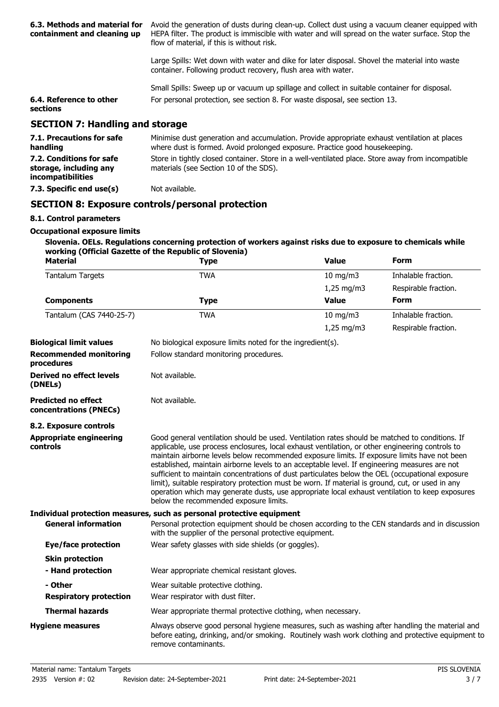| 6.3. Methods and material for<br>containment and cleaning up | Avoid the generation of dusts during clean-up. Collect dust using a vacuum cleaner equipped with<br>HEPA filter. The product is immiscible with water and will spread on the water surface. Stop the<br>flow of material, if this is without risk. |
|--------------------------------------------------------------|----------------------------------------------------------------------------------------------------------------------------------------------------------------------------------------------------------------------------------------------------|
|                                                              | Large Spills: Wet down with water and dike for later disposal. Shovel the material into waste<br>container. Following product recovery, flush area with water.                                                                                     |
|                                                              | Small Spills: Sweep up or vacuum up spillage and collect in suitable container for disposal.                                                                                                                                                       |
| 6.4. Reference to other<br>sections                          | For personal protection, see section 8. For waste disposal, see section 13.                                                                                                                                                                        |
| <b>SECTION 7: Handling and storage</b>                       |                                                                                                                                                                                                                                                    |
| <b>71 Precautions for safe</b>                               | Minimise dust generation and accumulation. Provide appropriate exhaust ventilation at places                                                                                                                                                       |

| 7.1. Precautions for safe<br>handling                                          | Minimise dust generation and accumulation. Provide appropriate exhaust ventilation at places<br>where dust is formed. Avoid prolonged exposure. Practice good housekeeping. |
|--------------------------------------------------------------------------------|-----------------------------------------------------------------------------------------------------------------------------------------------------------------------------|
| 7.2. Conditions for safe<br>storage, including any<br><i>incompatibilities</i> | Store in tightly closed container. Store in a well-ventilated place. Store away from incompatible<br>materials (see Section 10 of the SDS).                                 |
| 7.3. Specific end use(s)                                                       | Not available.                                                                                                                                                              |

# **SECTION 8: Exposure controls/personal protection**

### **8.1. Control parameters**

#### **Occupational exposure limits**

#### **Slovenia. OELs. Regulations concerning protection of workers against risks due to exposure to chemicals while working (Official Gazette of the Republic of Slovenia)**

| <b>Material</b>                                      | <b>Type</b>                                                                                                                                                                                                                                                                                                                                                                                                                                                                                                                                                                                                                                                                                                                                            | <b>Value</b>  | Form                 |
|------------------------------------------------------|--------------------------------------------------------------------------------------------------------------------------------------------------------------------------------------------------------------------------------------------------------------------------------------------------------------------------------------------------------------------------------------------------------------------------------------------------------------------------------------------------------------------------------------------------------------------------------------------------------------------------------------------------------------------------------------------------------------------------------------------------------|---------------|----------------------|
| <b>Tantalum Targets</b>                              | <b>TWA</b>                                                                                                                                                                                                                                                                                                                                                                                                                                                                                                                                                                                                                                                                                                                                             | $10$ mg/m $3$ | Inhalable fraction.  |
|                                                      |                                                                                                                                                                                                                                                                                                                                                                                                                                                                                                                                                                                                                                                                                                                                                        | 1,25 mg/m3    | Respirable fraction. |
| <b>Components</b>                                    | <b>Type</b>                                                                                                                                                                                                                                                                                                                                                                                                                                                                                                                                                                                                                                                                                                                                            | <b>Value</b>  | <b>Form</b>          |
| Tantalum (CAS 7440-25-7)                             | <b>TWA</b>                                                                                                                                                                                                                                                                                                                                                                                                                                                                                                                                                                                                                                                                                                                                             | $10$ mg/m $3$ | Inhalable fraction.  |
|                                                      |                                                                                                                                                                                                                                                                                                                                                                                                                                                                                                                                                                                                                                                                                                                                                        | $1,25$ mg/m3  | Respirable fraction. |
| <b>Biological limit values</b>                       | No biological exposure limits noted for the ingredient(s).                                                                                                                                                                                                                                                                                                                                                                                                                                                                                                                                                                                                                                                                                             |               |                      |
| <b>Recommended monitoring</b><br>procedures          | Follow standard monitoring procedures.                                                                                                                                                                                                                                                                                                                                                                                                                                                                                                                                                                                                                                                                                                                 |               |                      |
| <b>Derived no effect levels</b><br>(DNELs)           | Not available.                                                                                                                                                                                                                                                                                                                                                                                                                                                                                                                                                                                                                                                                                                                                         |               |                      |
| <b>Predicted no effect</b><br>concentrations (PNECs) | Not available.                                                                                                                                                                                                                                                                                                                                                                                                                                                                                                                                                                                                                                                                                                                                         |               |                      |
| 8.2. Exposure controls                               |                                                                                                                                                                                                                                                                                                                                                                                                                                                                                                                                                                                                                                                                                                                                                        |               |                      |
| <b>Appropriate engineering</b><br>controls           | Good general ventilation should be used. Ventilation rates should be matched to conditions. If<br>applicable, use process enclosures, local exhaust ventilation, or other engineering controls to<br>maintain airborne levels below recommended exposure limits. If exposure limits have not been<br>established, maintain airborne levels to an acceptable level. If engineering measures are not<br>sufficient to maintain concentrations of dust particulates below the OEL (occupational exposure<br>limit), suitable respiratory protection must be worn. If material is ground, cut, or used in any<br>operation which may generate dusts, use appropriate local exhaust ventilation to keep exposures<br>below the recommended exposure limits. |               |                      |
|                                                      | Individual protection measures, such as personal protective equipment                                                                                                                                                                                                                                                                                                                                                                                                                                                                                                                                                                                                                                                                                  |               |                      |
| <b>General information</b>                           | Personal protection equipment should be chosen according to the CEN standards and in discussion<br>with the supplier of the personal protective equipment.                                                                                                                                                                                                                                                                                                                                                                                                                                                                                                                                                                                             |               |                      |
| <b>Eye/face protection</b>                           | Wear safety glasses with side shields (or goggles).                                                                                                                                                                                                                                                                                                                                                                                                                                                                                                                                                                                                                                                                                                    |               |                      |
| <b>Skin protection</b>                               |                                                                                                                                                                                                                                                                                                                                                                                                                                                                                                                                                                                                                                                                                                                                                        |               |                      |
| - Hand protection                                    | Wear appropriate chemical resistant gloves.                                                                                                                                                                                                                                                                                                                                                                                                                                                                                                                                                                                                                                                                                                            |               |                      |
| - Other                                              | Wear suitable protective clothing.                                                                                                                                                                                                                                                                                                                                                                                                                                                                                                                                                                                                                                                                                                                     |               |                      |
| <b>Respiratory protection</b>                        | Wear respirator with dust filter.                                                                                                                                                                                                                                                                                                                                                                                                                                                                                                                                                                                                                                                                                                                      |               |                      |
| <b>Thermal hazards</b>                               | Wear appropriate thermal protective clothing, when necessary.                                                                                                                                                                                                                                                                                                                                                                                                                                                                                                                                                                                                                                                                                          |               |                      |
| <b>Hygiene measures</b>                              | Always observe good personal hygiene measures, such as washing after handling the material and<br>before eating, drinking, and/or smoking. Routinely wash work clothing and protective equipment to<br>remove contaminants.                                                                                                                                                                                                                                                                                                                                                                                                                                                                                                                            |               |                      |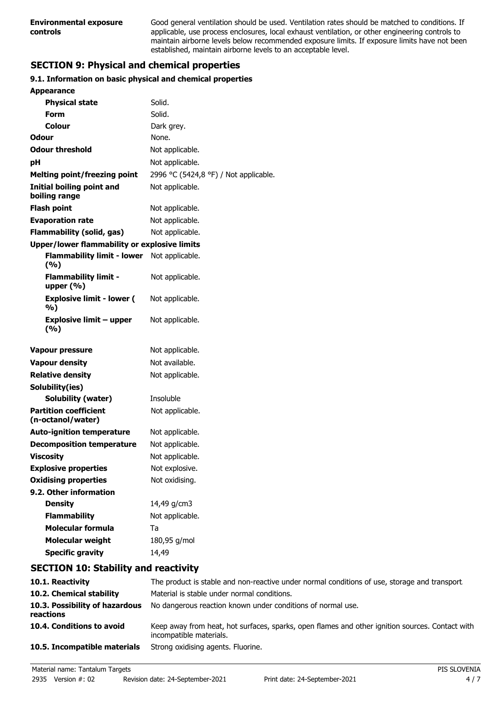Good general ventilation should be used. Ventilation rates should be matched to conditions. If applicable, use process enclosures, local exhaust ventilation, or other engineering controls to maintain airborne levels below recommended exposure limits. If exposure limits have not been established, maintain airborne levels to an acceptable level.

# **SECTION 9: Physical and chemical properties**

#### **9.1. Information on basic physical and chemical properties**

| <b>Appearance</b>                                   |                                       |
|-----------------------------------------------------|---------------------------------------|
| <b>Physical state</b>                               | Solid.                                |
| Form                                                | Solid.                                |
| Colour                                              | Dark grey.                            |
| Odour                                               | None.                                 |
| <b>Odour threshold</b>                              | Not applicable.                       |
| рH                                                  | Not applicable.                       |
| <b>Melting point/freezing point</b>                 | 2996 °C (5424,8 °F) / Not applicable. |
| <b>Initial boiling point and</b><br>boiling range   | Not applicable.                       |
| <b>Flash point</b>                                  | Not applicable.                       |
| <b>Evaporation rate</b>                             | Not applicable.                       |
| Flammability (solid, gas)                           | Not applicable.                       |
| <b>Upper/lower flammability or explosive limits</b> |                                       |
| <b>Flammability limit - lower</b><br>(%)            | Not applicable.                       |
| <b>Flammability limit -</b><br>upper $(\% )$        | Not applicable.                       |
| <b>Explosive limit - lower (</b><br>%)              | Not applicable.                       |
| <b>Explosive limit - upper</b><br>(%)               | Not applicable.                       |
| <b>Vapour pressure</b>                              | Not applicable.                       |
| <b>Vapour density</b>                               | Not available.                        |
| <b>Relative density</b>                             | Not applicable.                       |
| Solubility(ies)                                     |                                       |
| <b>Solubility (water)</b>                           | Insoluble                             |
| <b>Partition coefficient</b><br>(n-octanol/water)   | Not applicable.                       |
| <b>Auto-ignition temperature</b>                    | Not applicable.                       |
| <b>Decomposition temperature</b>                    | Not applicable.                       |
| <b>Viscosity</b>                                    | Not applicable.                       |
| <b>Explosive properties</b>                         | Not explosive.                        |
| <b>Oxidising properties</b>                         | Not oxidising.                        |
| 9.2. Other information                              |                                       |
| <b>Density</b>                                      | 14,49 g/cm3                           |
| <b>Flammability</b>                                 | Not applicable.                       |
| <b>Molecular formula</b>                            | Ta                                    |
| <b>Molecular weight</b>                             | 180,95 g/mol                          |
| <b>Specific gravity</b>                             | 14,49                                 |

# **SECTION 10: Stability and reactivity**

| 10.1. Reactivity                            | The product is stable and non-reactive under normal conditions of use, storage and transport                               |
|---------------------------------------------|----------------------------------------------------------------------------------------------------------------------------|
| 10.2. Chemical stability                    | Material is stable under normal conditions.                                                                                |
| 10.3. Possibility of hazardous<br>reactions | No dangerous reaction known under conditions of normal use.                                                                |
| 10.4. Conditions to avoid                   | Keep away from heat, hot surfaces, sparks, open flames and other ignition sources. Contact with<br>incompatible materials. |
| 10.5. Incompatible materials                | Strong oxidising agents. Fluorine.                                                                                         |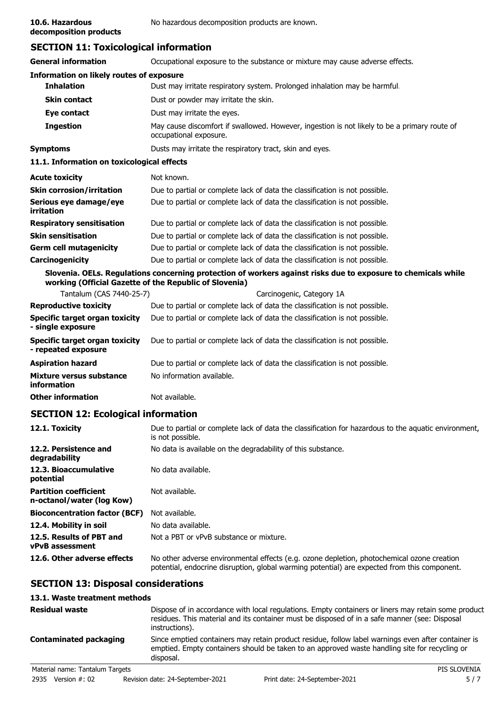**decomposition products**

### **SECTION 11: Toxicological information**

| <b>General information</b>                                   | Occupational exposure to the substance or mixture may cause adverse effects.                                                                                            |  |
|--------------------------------------------------------------|-------------------------------------------------------------------------------------------------------------------------------------------------------------------------|--|
| <b>Information on likely routes of exposure</b>              |                                                                                                                                                                         |  |
| <b>Inhalation</b>                                            | Dust may irritate respiratory system. Prolonged inhalation may be harmful.                                                                                              |  |
| Skin contact                                                 | Dust or powder may irritate the skin.                                                                                                                                   |  |
| Eye contact                                                  | Dust may irritate the eyes.                                                                                                                                             |  |
| <b>Ingestion</b>                                             | May cause discomfort if swallowed. However, ingestion is not likely to be a primary route of<br>occupational exposure.                                                  |  |
| Symptoms                                                     | Dusts may irritate the respiratory tract, skin and eyes.                                                                                                                |  |
| 11.1. Information on toxicological effects                   |                                                                                                                                                                         |  |
| <b>Acute toxicity</b>                                        | Not known.                                                                                                                                                              |  |
| <b>Skin corrosion/irritation</b>                             | Due to partial or complete lack of data the classification is not possible.                                                                                             |  |
| Serious eye damage/eye<br>irritation                         | Due to partial or complete lack of data the classification is not possible.                                                                                             |  |
| <b>Respiratory sensitisation</b>                             | Due to partial or complete lack of data the classification is not possible.                                                                                             |  |
| <b>Skin sensitisation</b>                                    | Due to partial or complete lack of data the classification is not possible.                                                                                             |  |
| <b>Germ cell mutagenicity</b>                                | Due to partial or complete lack of data the classification is not possible.                                                                                             |  |
| Carcinogenicity                                              | Due to partial or complete lack of data the classification is not possible.                                                                                             |  |
|                                                              | Slovenia. OELs. Regulations concerning protection of workers against risks due to exposure to chemicals while<br>working (Official Gazette of the Republic of Slovenia) |  |
| Tantalum (CAS 7440-25-7)                                     | Carcinogenic, Category 1A                                                                                                                                               |  |
| <b>Reproductive toxicity</b>                                 | Due to partial or complete lack of data the classification is not possible.                                                                                             |  |
| Specific target organ toxicity<br>- single exposure          | Due to partial or complete lack of data the classification is not possible.                                                                                             |  |
| <b>Specific target organ toxicity</b><br>- repeated exposure | Due to partial or complete lack of data the classification is not possible.                                                                                             |  |
| <b>Aspiration hazard</b>                                     | Due to partial or complete lack of data the classification is not possible.                                                                                             |  |
| Mixture versus substance<br>information                      | No information available.                                                                                                                                               |  |
| <b>Other information</b>                                     | Not available.                                                                                                                                                          |  |
| <b>SECTION 12: Ecological information</b>                    |                                                                                                                                                                         |  |
| 12.1. Toxicity                                               | Due to partial or complete lack of data the classification for hazardous to the aquatic environment,<br>is not possible.                                                |  |
| 12.2. Persistence and<br>degradability                       | No data is available on the degradability of this substance.                                                                                                            |  |

| degradability                                             |                                         |
|-----------------------------------------------------------|-----------------------------------------|
| 12.3. Bioaccumulative<br>potential                        | No data available.                      |
| <b>Partition coefficient</b><br>n-octanol/water (log Kow) | Not available.                          |
| <b>Bioconcentration factor (BCF)</b>                      | Not available.                          |
| 12.4. Mobility in soil                                    | No data available.                      |
| 12.5. Results of PBT and<br><b>vPvB</b> assessment        | Not a PBT or vPvB substance or mixture. |
|                                                           |                                         |

**12.6. Other adverse effects** No other adverse environmental effects (e.g. ozone depletion, photochemical ozone creation potential, endocrine disruption, global warming potential) are expected from this component.

# **SECTION 13: Disposal considerations**

#### **13.1. Waste treatment methods**

| <b>Residual waste</b>           | Dispose of in accordance with local regulations. Empty containers or liners may retain some product<br>residues. This material and its container must be disposed of in a safe manner (see: Disposal<br>instructions). |              |
|---------------------------------|------------------------------------------------------------------------------------------------------------------------------------------------------------------------------------------------------------------------|--------------|
| <b>Contaminated packaging</b>   | Since emptied containers may retain product residue, follow label warnings even after container is<br>emptied. Empty containers should be taken to an approved waste handling site for recycling or<br>disposal.       |              |
| Material name: Tantalum Targets |                                                                                                                                                                                                                        | PIS SLOVENIA |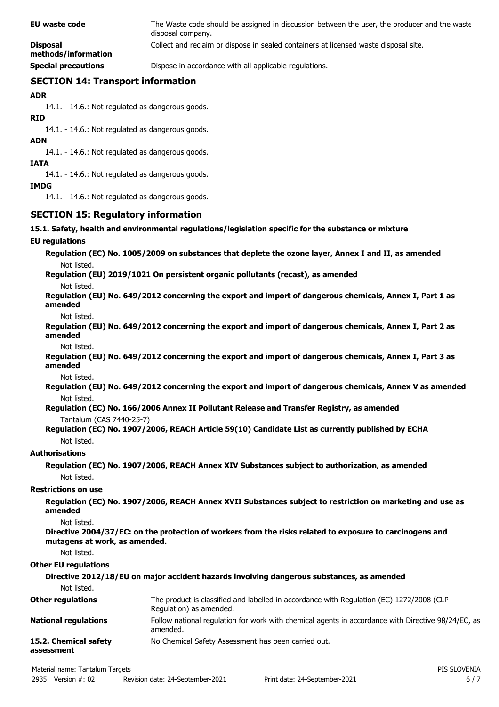| EU waste code                          | The Waste code should be assigned in discussion between the user, the producer and the waste<br>disposal company. |
|----------------------------------------|-------------------------------------------------------------------------------------------------------------------|
| <b>Disposal</b><br>methods/information | Collect and reclaim or dispose in sealed containers at licensed waste disposal site.                              |
| <b>Special precautions</b>             | Dispose in accordance with all applicable regulations.                                                            |

# **SECTION 14: Transport information**

**ADR**

14.1. - 14.6.: Not regulated as dangerous goods.

**RID**

14.1. - 14.6.: Not regulated as dangerous goods.

**ADN**

14.1. - 14.6.: Not regulated as dangerous goods.

**IATA**

14.1. - 14.6.: Not regulated as dangerous goods.

**IMDG**

14.1. - 14.6.: Not regulated as dangerous goods.

# **SECTION 15: Regulatory information**

#### **15.1. Safety, health and environmental regulations/legislation specific for the substance or mixture**

#### **EU regulations**

**Regulation (EC) No. 1005/2009 on substances that deplete the ozone layer, Annex I and II, as amended** Not listed.

# **Regulation (EU) 2019/1021 On persistent organic pollutants (recast), as amended**

Not listed.

**Regulation (EU) No. 649/2012 concerning the export and import of dangerous chemicals, Annex I, Part 1 as amended**

Not listed.

**Regulation (EU) No. 649/2012 concerning the export and import of dangerous chemicals, Annex I, Part 2 as amended**

Not listed.

**Regulation (EU) No. 649/2012 concerning the export and import of dangerous chemicals, Annex I, Part 3 as amended**

Not listed.

**Regulation (EU) No. 649/2012 concerning the export and import of dangerous chemicals, Annex V as amended** Not listed.

- **Regulation (EC) No. 166/2006 Annex II Pollutant Release and Transfer Registry, as amended** Tantalum (CAS 7440-25-7)
- **Regulation (EC) No. 1907/2006, REACH Article 59(10) Candidate List as currently published by ECHA** Not listed.

### **Authorisations**

**Regulation (EC) No. 1907/2006, REACH Annex XIV Substances subject to authorization, as amended** Not listed.

#### **Restrictions on use**

**Regulation (EC) No. 1907/2006, REACH Annex XVII Substances subject to restriction on marketing and use as amended**

Not listed.

**Directive 2004/37/EC: on the protection of workers from the risks related to exposure to carcinogens and mutagens at work, as amended.**

Not listed.

#### **Other EU regulations**

| Not listed.                         | Directive 2012/18/EU on major accident hazards involving dangerous substances, as amended                           |
|-------------------------------------|---------------------------------------------------------------------------------------------------------------------|
| <b>Other regulations</b>            | The product is classified and labelled in accordance with Regulation (EC) 1272/2008 (CLP<br>Regulation) as amended. |
| <b>National regulations</b>         | Follow national regulation for work with chemical agents in accordance with Directive 98/24/EC, as<br>amended.      |
| 15.2. Chemical safety<br>assessment | No Chemical Safety Assessment has been carried out.                                                                 |